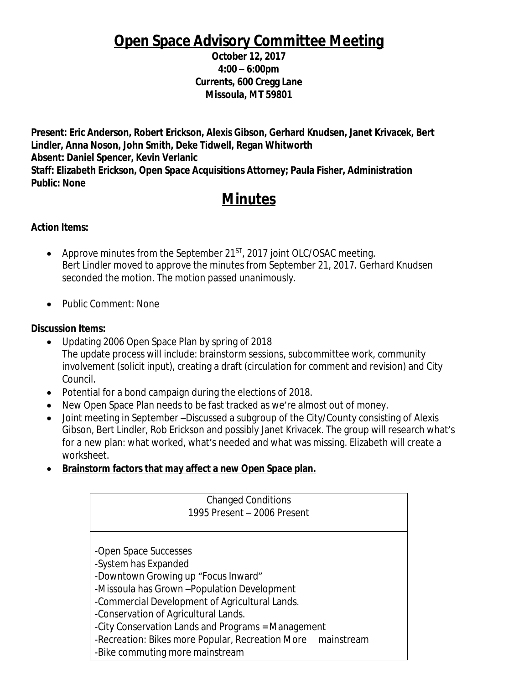# **Open Space Advisory Committee Meeting**

**October 12, 2017 4:00 – 6:00pm Currents, 600 Cregg Lane Missoula, MT 59801**

**Present: Eric Anderson, Robert Erickson, Alexis Gibson, Gerhard Knudsen, Janet Krivacek, Bert Lindler, Anna Noson, John Smith, Deke Tidwell, Regan Whitworth Absent: Daniel Spencer, Kevin Verlanic Staff: Elizabeth Erickson, Open Space Acquisitions Attorney; Paula Fisher, Administration Public: None**

# **Minutes**

### **Action Items:**

- Approve minutes from the September 21 $\text{ST}$ , 2017 joint OLC/OSAC meeting. Bert Lindler moved to approve the minutes from September 21, 2017. Gerhard Knudsen seconded the motion. The motion passed unanimously.
- Public Comment: None

#### **Discussion Items:**

- Updating 2006 Open Space Plan by spring of 2018 The update process will include: brainstorm sessions, subcommittee work, community involvement (solicit input), creating a draft (circulation for comment and revision) and City Council.
- Potential for a bond campaign during the elections of 2018.
- New Open Space Plan needs to be fast tracked as we're almost out of money.
- Joint meeting in September –Discussed a subgroup of the City/County consisting of Alexis Gibson, Bert Lindler, Rob Erickson and possibly Janet Krivacek. The group will research what's for a new plan: what worked, what's needed and what was missing. Elizabeth will create a worksheet.
- **Brainstorm factors that may affect a new Open Space plan.**

| <b>Changed Conditions</b><br>1995 Present - 2006 Present    |  |  |
|-------------------------------------------------------------|--|--|
|                                                             |  |  |
|                                                             |  |  |
| -Open Space Successes                                       |  |  |
| -System has Expanded                                        |  |  |
| -Downtown Growing up "Focus Inward"                         |  |  |
| -Missoula has Grown - Population Development                |  |  |
| -Commercial Development of Agricultural Lands.              |  |  |
| -Conservation of Agricultural Lands.                        |  |  |
| -City Conservation Lands and Programs = Management          |  |  |
| -Recreation: Bikes more Popular, Recreation More mainstream |  |  |
| -Bike commuting more mainstream                             |  |  |